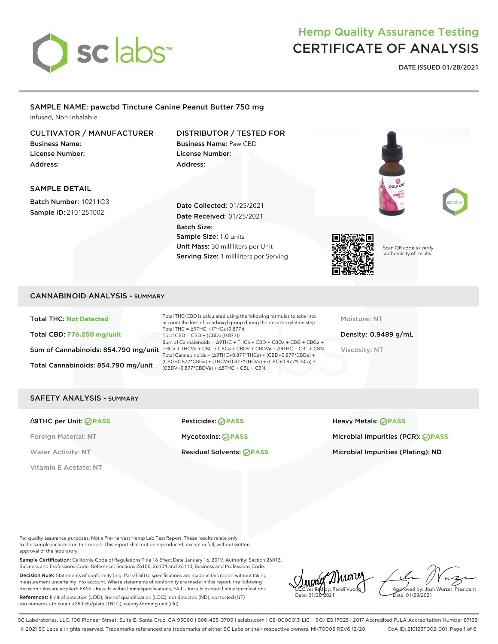

## Hemp Quality Assurance Testing CERTIFICATE OF ANALYSIS

**DATE ISSUED 01/28/2021**

#### SAMPLE NAME: pawcbd Tincture Canine Peanut Butter 750 mg Infused, Non-Inhalable

#### CULTIVATOR / MANUFACTURER

Business Name: License Number: Address:

#### DISTRIBUTOR / TESTED FOR Business Name: Paw CBD License Number:

Address:

#### SAMPLE DETAIL

Batch Number: 10211O3 Sample ID: 210125T002

Date Collected: 01/25/2021 Date Received: 01/25/2021 Batch Size: Sample Size: 1.0 units Unit Mass: 30 milliliters per Unit Serving Size: 1 milliliters per Serving



Scan QR code to verify authenticity of results.

#### CANNABINOID ANALYSIS - SUMMARY

Total THC: **Not Detected** Total CBD: **776.250 mg/unit** Total Cannabinoids: 854.790 mg/unit

Sum of Cannabinoids: 854.790 mg/unit THCV + THCVa + CBC + CBCa + CBDV + CBDVa +  $\triangle$ 8THC + CBL + CBN Total THC/CBD is calculated using the following formulas to take into account the loss of a carboxyl group during the decarboxylation step: Total THC = ∆9THC + (THCa (0.877)) Total CBD = CBD + (CBDa (0.877)) Sum of Cannabinoids = ∆9THC + THCa + CBD + CBDa + CBG + CBGa + Total Cannabinoids = (∆9THC+0.877\*THCa) + (CBD+0.877\*CBDa) + (CBG+0.877\*CBGa) + (THCV+0.877\*THCVa) + (CBC+0.877\*CBCa) + (CBDV+0.877\*CBDVa) + ∆8THC + CBL + CBN

Moisture: NT

Density: 0.9489 g/mL Viscosity: NT

#### SAFETY ANALYSIS - SUMMARY

Vitamin E Acetate: **NT**

∆9THC per Unit: **PASS** Pesticides: **PASS** Heavy Metals: **PASS**

Foreign Material: **NT** Mycotoxins: **PASS** Microbial Impurities (PCR): **PASS** Water Activity: NT **Residual Solvents: PASS Microbial Impurities (Plating): ND** Microbial Impurities (Plating): ND

For quality assurance purposes. Not a Pre-Harvest Hemp Lab Test Report. These results relate only to the sample included on this report. This report shall not be reproduced, except in full, without written approval of the laboratory.

Sample Certification: California Code of Regulations Title 16 Effect Date January 16, 2019. Authority: Section 26013, Business and Professions Code. Reference: Sections 26100, 26104 and 26110, Business and Professions Code.

Decision Rule: Statements of conformity (e.g. Pass/Fail) to specifications are made in this report without taking measurement uncertainty into account. Where statements of conformity are made in this report, the following decision rules are applied: PASS – Results within limits/specifications, FAIL – Results exceed limits/specifications.

References: limit of detection (LOD), limit of quantification (LOQ), not detected (ND), not tested (NT) too numerous to count >250 cfu/plate (TNTC), colony-forming unit (cfu)

LQC verified by: Randi Vuong Date: 01/28/2021

Approved by: Josh Wurzer, President ate: 01/28/2021

SC Laboratories, LLC. 100 Pioneer Street, Suite E, Santa Cruz, CA 95060 | 866-435-0709 | sclabs.com | C8-0000013-LIC | ISO/IES 17025 : 2017 Accredited PJLA Accreditation Number 87168 © 2021 SC Labs all rights reserved. Trademarks referenced are trademarks of either SC Labs or their respective owners. MKT0003 REV6 12/20 CoA ID: 210125T002-001 Page 1 of 6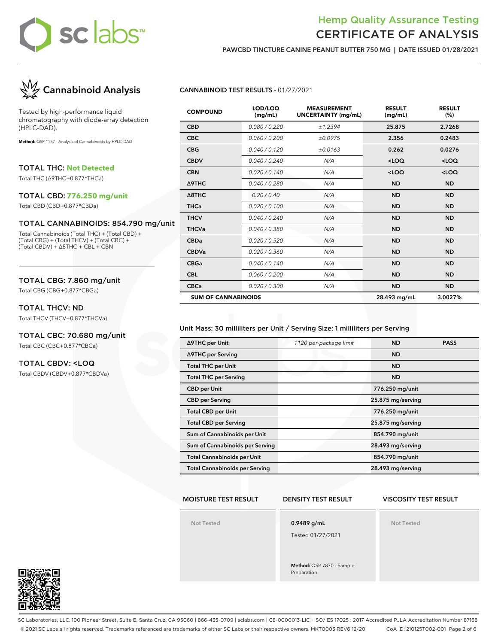

### Hemp Quality Assurance Testing CERTIFICATE OF ANALYSIS

**PAWCBD TINCTURE CANINE PEANUT BUTTER 750 MG | DATE ISSUED 01/28/2021**



Tested by high-performance liquid chromatography with diode-array detection (HPLC-DAD).

**Method:** QSP 1157 - Analysis of Cannabinoids by HPLC-DAD

TOTAL THC: **Not Detected**

Total THC (∆9THC+0.877\*THCa)

#### TOTAL CBD: **776.250 mg/unit**

Total CBD (CBD+0.877\*CBDa)

#### TOTAL CANNABINOIDS: 854.790 mg/unit

Total Cannabinoids (Total THC) + (Total CBD) + (Total CBG) + (Total THCV) + (Total CBC) + (Total CBDV) + ∆8THC + CBL + CBN

#### TOTAL CBG: 7.860 mg/unit

Total CBG (CBG+0.877\*CBGa)

#### TOTAL THCV: ND

Total THCV (THCV+0.877\*THCVa)

#### TOTAL CBC: 70.680 mg/unit Total CBC (CBC+0.877\*CBCa)

#### TOTAL CBDV: <LOQ

Total CBDV (CBDV+0.877\*CBDVa)

#### **CANNABINOID TEST RESULTS -** 01/27/2021

| <b>COMPOUND</b>            | LOD/LOQ<br>(mg/mL) | <b>MEASUREMENT</b><br><b>UNCERTAINTY (mg/mL)</b> | <b>RESULT</b><br>(mg/mL) | <b>RESULT</b><br>(%) |
|----------------------------|--------------------|--------------------------------------------------|--------------------------|----------------------|
| <b>CBD</b>                 | 0.080 / 0.220      | ±1.2394                                          | 25.875                   | 2.7268               |
| <b>CBC</b>                 | 0.060 / 0.200      | ±0.0975                                          | 2.356                    | 0.2483               |
| <b>CBG</b>                 | 0.040 / 0.120      | ±0.0163                                          | 0.262                    | 0.0276               |
| <b>CBDV</b>                | 0.040/0.240        | N/A                                              | $<$ LOQ                  | $<$ LOQ              |
| <b>CBN</b>                 | 0.020 / 0.140      | N/A                                              | $<$ LOQ                  | $<$ LOQ              |
| Δ9THC                      | 0.040 / 0.280      | N/A                                              | <b>ND</b>                | <b>ND</b>            |
| $\triangle$ 8THC           | 0.20 / 0.40        | N/A                                              | <b>ND</b>                | <b>ND</b>            |
| <b>THCa</b>                | 0.020 / 0.100      | N/A                                              | <b>ND</b>                | <b>ND</b>            |
| <b>THCV</b>                | 0.040/0.240        | N/A                                              | <b>ND</b>                | <b>ND</b>            |
| <b>THCVa</b>               | 0.040 / 0.380      | N/A                                              | <b>ND</b>                | <b>ND</b>            |
| <b>CBDa</b>                | 0.020 / 0.520      | N/A                                              | <b>ND</b>                | <b>ND</b>            |
| <b>CBDVa</b>               | 0.020 / 0.360      | N/A                                              | <b>ND</b>                | <b>ND</b>            |
| <b>CBGa</b>                | 0.040 / 0.140      | N/A                                              | <b>ND</b>                | <b>ND</b>            |
| <b>CBL</b>                 | 0.060 / 0.200      | N/A                                              | <b>ND</b>                | <b>ND</b>            |
| <b>CBCa</b>                | 0.020 / 0.300      | N/A                                              | <b>ND</b>                | <b>ND</b>            |
| <b>SUM OF CANNABINOIDS</b> |                    |                                                  | 28.493 mg/mL             | 3.0027%              |

#### Unit Mass: 30 milliliters per Unit / Serving Size: 1 milliliters per Serving

| ∆9THC per Unit                        | 1120 per-package limit | <b>ND</b>         | <b>PASS</b> |
|---------------------------------------|------------------------|-------------------|-------------|
| ∆9THC per Serving                     |                        | <b>ND</b>         |             |
| <b>Total THC per Unit</b>             |                        | <b>ND</b>         |             |
| <b>Total THC per Serving</b>          |                        | <b>ND</b>         |             |
| <b>CBD</b> per Unit                   |                        | 776.250 mg/unit   |             |
| <b>CBD per Serving</b>                |                        | 25.875 mg/serving |             |
| <b>Total CBD per Unit</b>             |                        | 776.250 mg/unit   |             |
| <b>Total CBD per Serving</b>          |                        | 25.875 mg/serving |             |
| Sum of Cannabinoids per Unit          |                        | 854.790 mg/unit   |             |
| Sum of Cannabinoids per Serving       |                        | 28.493 mg/serving |             |
| <b>Total Cannabinoids per Unit</b>    |                        | 854.790 mg/unit   |             |
| <b>Total Cannabinoids per Serving</b> |                        | 28.493 mg/serving |             |

#### **MOISTURE TEST RESULT**

#### **DENSITY TEST RESULT**

#### **VISCOSITY TEST RESULT**

**Not Tested**

**0.9489 g/mL**

Tested 01/27/2021

**Method:** QSP 7870 - Sample Preparation

**Not Tested**



SC Laboratories, LLC. 100 Pioneer Street, Suite E, Santa Cruz, CA 95060 | 866-435-0709 | sclabs.com | C8-0000013-LIC | ISO/IES 17025 : 2017 Accredited PJLA Accreditation Number 87168 © 2021 SC Labs all rights reserved. Trademarks referenced are trademarks of either SC Labs or their respective owners. MKT0003 REV6 12/20 CoA ID: 210125T002-001 Page 2 of 6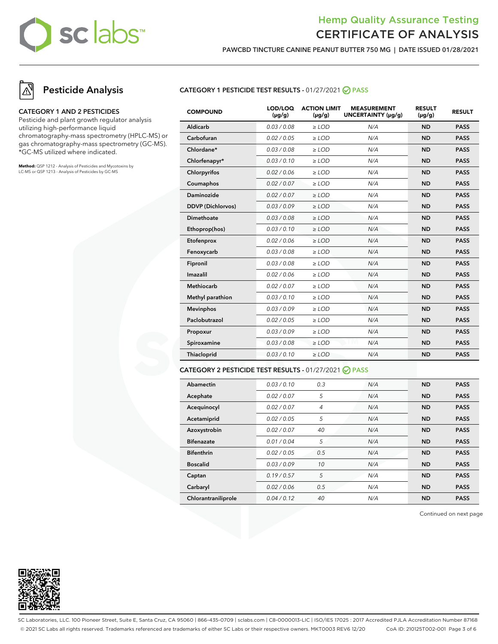## sc labs™

### Hemp Quality Assurance Testing CERTIFICATE OF ANALYSIS

**PAWCBD TINCTURE CANINE PEANUT BUTTER 750 MG | DATE ISSUED 01/28/2021**

## **Pesticide Analysis**

#### **CATEGORY 1 AND 2 PESTICIDES**

Pesticide and plant growth regulator analysis utilizing high-performance liquid chromatography-mass spectrometry (HPLC-MS) or gas chromatography-mass spectrometry (GC-MS). \*GC-MS utilized where indicated.

**Method:** QSP 1212 - Analysis of Pesticides and Mycotoxins by LC-MS or QSP 1213 - Analysis of Pesticides by GC-MS

#### **CATEGORY 1 PESTICIDE TEST RESULTS -** 01/27/2021 **PASS**

| <b>COMPOUND</b>          | LOD/LOQ<br>$(\mu g/g)$ | <b>ACTION LIMIT</b><br>$(\mu g/g)$ | <b>MEASUREMENT</b><br>UNCERTAINTY (µg/g) | <b>RESULT</b><br>$(\mu g/g)$ | <b>RESULT</b> |
|--------------------------|------------------------|------------------------------------|------------------------------------------|------------------------------|---------------|
| Aldicarb                 | 0.03 / 0.08            | $>$ LOD                            | N/A                                      | <b>ND</b>                    | <b>PASS</b>   |
| Carbofuran               | 0.02 / 0.05            | $\ge$ LOD                          | N/A                                      | <b>ND</b>                    | <b>PASS</b>   |
| Chlordane*               | 0.03 / 0.08            | $\ge$ LOD                          | N/A                                      | <b>ND</b>                    | <b>PASS</b>   |
| Chlorfenapyr*            | 0.03/0.10              | $\ge$ LOD                          | N/A                                      | <b>ND</b>                    | <b>PASS</b>   |
| Chlorpyrifos             | 0.02 / 0.06            | $\ge$ LOD                          | N/A                                      | <b>ND</b>                    | <b>PASS</b>   |
| Coumaphos                | 0.02 / 0.07            | $\ge$ LOD                          | N/A                                      | <b>ND</b>                    | <b>PASS</b>   |
| Daminozide               | 0.02 / 0.07            | $>$ LOD                            | N/A                                      | <b>ND</b>                    | <b>PASS</b>   |
| <b>DDVP</b> (Dichlorvos) | 0.03/0.09              | $\ge$ LOD                          | N/A                                      | <b>ND</b>                    | <b>PASS</b>   |
| Dimethoate               | 0.03 / 0.08            | $\ge$ LOD                          | N/A                                      | <b>ND</b>                    | <b>PASS</b>   |
| Ethoprop(hos)            | 0.03/0.10              | $\ge$ LOD                          | N/A                                      | <b>ND</b>                    | <b>PASS</b>   |
| Etofenprox               | 0.02 / 0.06            | $\ge$ LOD                          | N/A                                      | <b>ND</b>                    | <b>PASS</b>   |
| Fenoxycarb               | 0.03 / 0.08            | $\ge$ LOD                          | N/A                                      | <b>ND</b>                    | <b>PASS</b>   |
| Fipronil                 | 0.03 / 0.08            | $\ge$ LOD                          | N/A                                      | <b>ND</b>                    | <b>PASS</b>   |
| Imazalil                 | 0.02 / 0.06            | $\ge$ LOD                          | N/A                                      | <b>ND</b>                    | <b>PASS</b>   |
| <b>Methiocarb</b>        | 0.02 / 0.07            | $\ge$ LOD                          | N/A                                      | <b>ND</b>                    | <b>PASS</b>   |
| Methyl parathion         | 0.03/0.10              | $\ge$ LOD                          | N/A                                      | <b>ND</b>                    | <b>PASS</b>   |
| Mevinphos                | 0.03/0.09              | $>$ LOD                            | N/A                                      | <b>ND</b>                    | <b>PASS</b>   |
| Paclobutrazol            | 0.02 / 0.05            | $>$ LOD                            | N/A                                      | <b>ND</b>                    | <b>PASS</b>   |
| Propoxur                 | 0.03 / 0.09            | $\ge$ LOD                          | N/A                                      | <b>ND</b>                    | <b>PASS</b>   |
| Spiroxamine              | 0.03 / 0.08            | $\ge$ LOD                          | N/A                                      | <b>ND</b>                    | <b>PASS</b>   |
| Thiacloprid              | 0.03/0.10              | $\ge$ LOD                          | N/A                                      | <b>ND</b>                    | <b>PASS</b>   |
|                          |                        |                                    |                                          |                              |               |

#### **CATEGORY 2 PESTICIDE TEST RESULTS -** 01/27/2021 **PASS**

| Abamectin           | 0.03/0.10   | 0.3            | N/A | <b>ND</b> | <b>PASS</b> |
|---------------------|-------------|----------------|-----|-----------|-------------|
| Acephate            | 0.02 / 0.07 | 5              | N/A | <b>ND</b> | <b>PASS</b> |
| Acequinocyl         | 0.02 / 0.07 | $\overline{4}$ | N/A | <b>ND</b> | <b>PASS</b> |
| Acetamiprid         | 0.02/0.05   | 5              | N/A | <b>ND</b> | <b>PASS</b> |
| Azoxystrobin        | 0.02 / 0.07 | 40             | N/A | <b>ND</b> | <b>PASS</b> |
| <b>Bifenazate</b>   | 0.01 / 0.04 | 5              | N/A | <b>ND</b> | <b>PASS</b> |
| <b>Bifenthrin</b>   | 0.02/0.05   | 0.5            | N/A | <b>ND</b> | <b>PASS</b> |
| <b>Boscalid</b>     | 0.03/0.09   | 10             | N/A | <b>ND</b> | <b>PASS</b> |
| Captan              | 0.19/0.57   | 5              | N/A | <b>ND</b> | <b>PASS</b> |
| Carbaryl            | 0.02 / 0.06 | 0.5            | N/A | <b>ND</b> | <b>PASS</b> |
| Chlorantraniliprole | 0.04/0.12   | 40             | N/A | <b>ND</b> | <b>PASS</b> |

Continued on next page



SC Laboratories, LLC. 100 Pioneer Street, Suite E, Santa Cruz, CA 95060 | 866-435-0709 | sclabs.com | C8-0000013-LIC | ISO/IES 17025 : 2017 Accredited PJLA Accreditation Number 87168 © 2021 SC Labs all rights reserved. Trademarks referenced are trademarks of either SC Labs or their respective owners. MKT0003 REV6 12/20 CoA ID: 210125T002-001 Page 3 of 6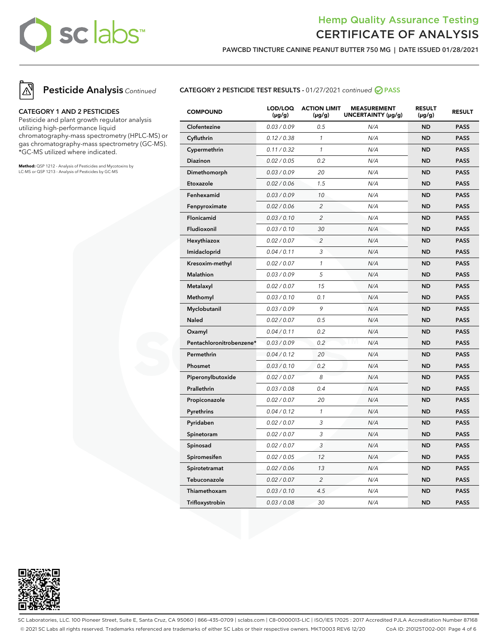## sc labs™

### Hemp Quality Assurance Testing CERTIFICATE OF ANALYSIS

**PAWCBD TINCTURE CANINE PEANUT BUTTER 750 MG | DATE ISSUED 01/28/2021**





#### **CATEGORY 1 AND 2 PESTICIDES**

Pesticide and plant growth regulator analysis utilizing high-performance liquid chromatography-mass spectrometry (HPLC-MS) or gas chromatography-mass spectrometry (GC-MS). \*GC-MS utilized where indicated.

**Method:** QSP 1212 - Analysis of Pesticides and Mycotoxins by LC-MS or QSP 1213 - Analysis of Pesticides by GC-MS

#### **CATEGORY 2 PESTICIDE TEST RESULTS -** 01/27/2021 continued **PASS**

| <b>COMPOUND</b>          | LOD/LOQ<br>$(\mu g/g)$ | <b>ACTION LIMIT</b><br>$(\mu g/g)$ | <b>MEASUREMENT</b><br>UNCERTAINTY (µg/g) | <b>RESULT</b><br>$(\mu g/g)$ | <b>RESULT</b> |
|--------------------------|------------------------|------------------------------------|------------------------------------------|------------------------------|---------------|
| Clofentezine             | 0.03 / 0.09            | 0.5                                | N/A                                      | <b>ND</b>                    | <b>PASS</b>   |
| Cyfluthrin               | 0.12 / 0.38            | $\mathcal{I}$                      | N/A                                      | <b>ND</b>                    | <b>PASS</b>   |
| Cypermethrin             | 0.11 / 0.32            | $\mathcal{I}$                      | N/A                                      | <b>ND</b>                    | <b>PASS</b>   |
| Diazinon                 | 0.02 / 0.05            | 0.2                                | N/A                                      | <b>ND</b>                    | <b>PASS</b>   |
| Dimethomorph             | 0.03 / 0.09            | 20                                 | N/A                                      | <b>ND</b>                    | <b>PASS</b>   |
| Etoxazole                | 0.02 / 0.06            | 1.5                                | N/A                                      | <b>ND</b>                    | <b>PASS</b>   |
| Fenhexamid               | 0.03 / 0.09            | 10                                 | N/A                                      | <b>ND</b>                    | <b>PASS</b>   |
| Fenpyroximate            | 0.02 / 0.06            | $\overline{c}$                     | N/A                                      | <b>ND</b>                    | <b>PASS</b>   |
| Flonicamid               | 0.03 / 0.10            | 2                                  | N/A                                      | <b>ND</b>                    | <b>PASS</b>   |
| Fludioxonil              | 0.03 / 0.10            | 30                                 | N/A                                      | <b>ND</b>                    | <b>PASS</b>   |
| Hexythiazox              | 0.02 / 0.07            | 2                                  | N/A                                      | <b>ND</b>                    | <b>PASS</b>   |
| Imidacloprid             | 0.04 / 0.11            | 3                                  | N/A                                      | <b>ND</b>                    | <b>PASS</b>   |
| Kresoxim-methyl          | 0.02 / 0.07            | $\mathcal{I}$                      | N/A                                      | <b>ND</b>                    | <b>PASS</b>   |
| <b>Malathion</b>         | 0.03 / 0.09            | 5                                  | N/A                                      | <b>ND</b>                    | <b>PASS</b>   |
| Metalaxyl                | 0.02 / 0.07            | 15                                 | N/A                                      | <b>ND</b>                    | <b>PASS</b>   |
| Methomyl                 | 0.03 / 0.10            | 0.1                                | N/A                                      | <b>ND</b>                    | <b>PASS</b>   |
| Myclobutanil             | 0.03 / 0.09            | 9                                  | N/A                                      | <b>ND</b>                    | <b>PASS</b>   |
| <b>Naled</b>             | 0.02 / 0.07            | 0.5                                | N/A                                      | <b>ND</b>                    | <b>PASS</b>   |
| Oxamyl                   | 0.04 / 0.11            | 0.2                                | N/A                                      | <b>ND</b>                    | <b>PASS</b>   |
| Pentachloronitrobenzene* | 0.03 / 0.09            | 0.2                                | N/A                                      | <b>ND</b>                    | <b>PASS</b>   |
| Permethrin               | 0.04 / 0.12            | 20                                 | N/A                                      | <b>ND</b>                    | <b>PASS</b>   |
| Phosmet                  | 0.03 / 0.10            | 0.2                                | N/A                                      | <b>ND</b>                    | <b>PASS</b>   |
| Piperonylbutoxide        | 0.02 / 0.07            | 8                                  | N/A                                      | <b>ND</b>                    | <b>PASS</b>   |
| Prallethrin              | 0.03 / 0.08            | 0.4                                | N/A                                      | <b>ND</b>                    | <b>PASS</b>   |
| Propiconazole            | 0.02 / 0.07            | 20                                 | N/A                                      | <b>ND</b>                    | <b>PASS</b>   |
| Pyrethrins               | 0.04 / 0.12            | $\mathcal{I}$                      | N/A                                      | <b>ND</b>                    | <b>PASS</b>   |
| Pyridaben                | 0.02 / 0.07            | 3                                  | N/A                                      | <b>ND</b>                    | <b>PASS</b>   |
| Spinetoram               | 0.02 / 0.07            | 3                                  | N/A                                      | <b>ND</b>                    | <b>PASS</b>   |
| Spinosad                 | 0.02 / 0.07            | 3                                  | N/A                                      | <b>ND</b>                    | <b>PASS</b>   |
| Spiromesifen             | 0.02 / 0.05            | 12                                 | N/A                                      | <b>ND</b>                    | <b>PASS</b>   |
| Spirotetramat            | 0.02 / 0.06            | 13                                 | N/A                                      | <b>ND</b>                    | <b>PASS</b>   |
| Tebuconazole             | 0.02 / 0.07            | $\overline{c}$                     | N/A                                      | <b>ND</b>                    | <b>PASS</b>   |
| Thiamethoxam             | 0.03 / 0.10            | 4.5                                | N/A                                      | <b>ND</b>                    | <b>PASS</b>   |
| Trifloxystrobin          | 0.03 / 0.08            | 30                                 | N/A                                      | <b>ND</b>                    | <b>PASS</b>   |



SC Laboratories, LLC. 100 Pioneer Street, Suite E, Santa Cruz, CA 95060 | 866-435-0709 | sclabs.com | C8-0000013-LIC | ISO/IES 17025 : 2017 Accredited PJLA Accreditation Number 87168 © 2021 SC Labs all rights reserved. Trademarks referenced are trademarks of either SC Labs or their respective owners. MKT0003 REV6 12/20 CoA ID: 210125T002-001 Page 4 of 6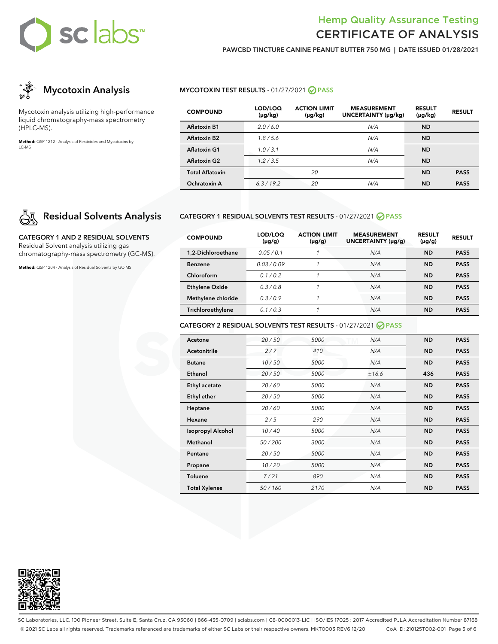# sclabs™

## Hemp Quality Assurance Testing CERTIFICATE OF ANALYSIS

**PAWCBD TINCTURE CANINE PEANUT BUTTER 750 MG | DATE ISSUED 01/28/2021**



Mycotoxin analysis utilizing high-performance liquid chromatography-mass spectrometry (HPLC-MS).

**Method:** QSP 1212 - Analysis of Pesticides and Mycotoxins by LC-MS

## **Residual Solvents Analysis**

**CATEGORY 1 AND 2 RESIDUAL SOLVENTS** Residual Solvent analysis utilizing gas chromatography-mass spectrometry (GC-MS).

**Method:** QSP 1204 - Analysis of Residual Solvents by GC-MS

#### **MYCOTOXIN TEST RESULTS - 01/27/2021 ⊘ PASS**

| <b>COMPOUND</b>        | LOD/LOQ<br>(µg/kg) | <b>ACTION LIMIT</b><br>$(\mu g/kg)$ | <b>MEASUREMENT</b><br>UNCERTAINTY (µg/kg) | <b>RESULT</b><br>$(\mu g/kg)$ | <b>RESULT</b> |
|------------------------|--------------------|-------------------------------------|-------------------------------------------|-------------------------------|---------------|
| <b>Aflatoxin B1</b>    | 2.0/6.0            |                                     | N/A                                       | <b>ND</b>                     |               |
| <b>Aflatoxin B2</b>    | 1.8/5.6            |                                     | N/A                                       | <b>ND</b>                     |               |
| Aflatoxin G1           | 1.0/3.1            |                                     | N/A                                       | <b>ND</b>                     |               |
| <b>Aflatoxin G2</b>    | 1.2/3.5            |                                     | N/A                                       | <b>ND</b>                     |               |
| <b>Total Aflatoxin</b> |                    | 20                                  |                                           | <b>ND</b>                     | <b>PASS</b>   |
| Ochratoxin A           | 6.3/19.2           | 20                                  | N/A                                       | <b>ND</b>                     | <b>PASS</b>   |

#### **CATEGORY 1 RESIDUAL SOLVENTS TEST RESULTS -** 01/27/2021 **PASS**

| <b>COMPOUND</b>       | LOD/LOQ<br>$(\mu g/g)$ | <b>ACTION LIMIT</b><br>$(\mu g/g)$ | <b>MEASUREMENT</b><br>UNCERTAINTY (µg/g) | <b>RESULT</b><br>$(\mu g/g)$ | <b>RESULT</b> |
|-----------------------|------------------------|------------------------------------|------------------------------------------|------------------------------|---------------|
| 1.2-Dichloroethane    | 0.05/0.1               |                                    | N/A                                      | <b>ND</b>                    | <b>PASS</b>   |
| <b>Benzene</b>        | 0.03/0.09              |                                    | N/A                                      | <b>ND</b>                    | <b>PASS</b>   |
| Chloroform            | 01/02                  |                                    | N/A                                      | <b>ND</b>                    | <b>PASS</b>   |
| <b>Ethylene Oxide</b> | 0.3/0.8                |                                    | N/A                                      | <b>ND</b>                    | <b>PASS</b>   |
| Methylene chloride    | 0.3/0.9                |                                    | N/A                                      | ND                           | <b>PASS</b>   |
| Trichloroethylene     | 0.1/0.3                |                                    | N/A                                      | <b>ND</b>                    | <b>PASS</b>   |

#### **CATEGORY 2 RESIDUAL SOLVENTS TEST RESULTS -** 01/27/2021 **PASS**

| Acetone                  | 20/50  | 5000 | N/A   | <b>ND</b> | <b>PASS</b> |
|--------------------------|--------|------|-------|-----------|-------------|
| <b>Acetonitrile</b>      | 2/7    | 410  | N/A   | <b>ND</b> | <b>PASS</b> |
| <b>Butane</b>            | 10/50  | 5000 | N/A   | <b>ND</b> | <b>PASS</b> |
| Ethanol                  | 20/50  | 5000 | ±16.6 | 436       | <b>PASS</b> |
| Ethyl acetate            | 20/60  | 5000 | N/A   | <b>ND</b> | <b>PASS</b> |
| <b>Ethyl ether</b>       | 20/50  | 5000 | N/A   | <b>ND</b> | <b>PASS</b> |
| Heptane                  | 20/60  | 5000 | N/A   | <b>ND</b> | <b>PASS</b> |
| Hexane                   | 2/5    | 290  | N/A   | <b>ND</b> | <b>PASS</b> |
| <b>Isopropyl Alcohol</b> | 10/40  | 5000 | N/A   | <b>ND</b> | <b>PASS</b> |
| Methanol                 | 50/200 | 3000 | N/A   | <b>ND</b> | <b>PASS</b> |
| Pentane                  | 20/50  | 5000 | N/A   | <b>ND</b> | <b>PASS</b> |
| Propane                  | 10/20  | 5000 | N/A   | <b>ND</b> | <b>PASS</b> |
| <b>Toluene</b>           | 7/21   | 890  | N/A   | <b>ND</b> | <b>PASS</b> |
| <b>Total Xylenes</b>     | 50/160 | 2170 | N/A   | <b>ND</b> | <b>PASS</b> |



SC Laboratories, LLC. 100 Pioneer Street, Suite E, Santa Cruz, CA 95060 | 866-435-0709 | sclabs.com | C8-0000013-LIC | ISO/IES 17025 : 2017 Accredited PJLA Accreditation Number 87168 © 2021 SC Labs all rights reserved. Trademarks referenced are trademarks of either SC Labs or their respective owners. MKT0003 REV6 12/20 CoA ID: 210125T002-001 Page 5 of 6